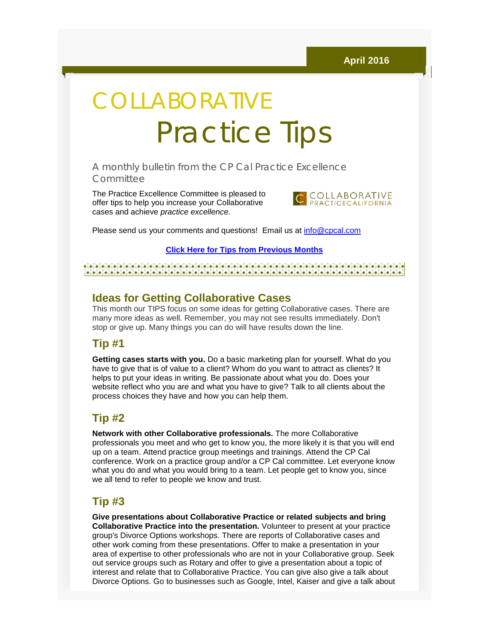# **COLLABORATIVE** Practice Tips

A monthly bulletin from the CP Cal Practice Excellence Committee

The Practice Excellence Committee is pleased to offer tips to help you increase your Collaborative cases and achieve *practice excellence.*



Please send us your comments and questions! Email us at [info@cpcal.com](mailto:info@cpcal.com)

**[Click Here for Tips from Previous Months](http://r20.rs6.net/tn.jsp?f=001fXRQeFTC11x4TOE-_nl4Fggv14VwAFnEeixLVLSrv8n4jFwli5Oji1wj--FbkVxVYlxiF-HIJa-7eCa754xnZr22_W2t9NVWXu-7NPDEhjD5Yjg0C7-TwUHDQTkEtXfjUlSC43yQIVn9LGHvdA59hAB75WH7WLn4fZaiM7Q9Kb2Eky_HDLjDp3r2ocZbXKEmta1-dkoL-hjNv-19cuhv9FLEQVL0R2R_YGOeI2kHasuk1T-Pg4KpbQ==&c=8rfLq4UgmNhrzoTaHV38eVb0riN43p6lRB0rD1OBdf7d95Vqh7BwAg==&ch=o1gcHX4i3cXPBXEj9V3xpt_qFVExbs3MOEgpm45IwlPhMkz5-xpU4g==)**

#### 

#### **Ideas for Getting Collaborative Cases**

This month our TIPS focus on some ideas for getting Collaborative cases. There are many more ideas as well. Remember, you may not see results immediately. Don't stop or give up. Many things you can do will have results down the line.

#### **Tip #1**

**Getting cases starts with you.** Do a basic marketing plan for yourself. What do you have to give that is of value to a client? Whom do you want to attract as clients? It helps to put your ideas in writing. Be passionate about what you do. Does your website reflect who you are and what you have to give? Talk to all clients about the process choices they have and how you can help them.

# **Tip #2**

**Network with other Collaborative professionals.** The more Collaborative professionals you meet and who get to know you, the more likely it is that you will end up on a team. Attend practice group meetings and trainings. Attend the CP Cal conference. Work on a practice group and/or a CP Cal committee. Let everyone know what you do and what you would bring to a team. Let people get to know you, since we all tend to refer to people we know and trust.

# **Tip #3**

**Give presentations about Collaborative Practice or related subjects and bring Collaborative Practice into the presentation.** Volunteer to present at your practice group's Divorce Options workshops. There are reports of Collaborative cases and other work coming from these presentations. Offer to make a presentation in your area of expertise to other professionals who are not in your Collaborative group. Seek out service groups such as Rotary and offer to give a presentation about a topic of interest and relate that to Collaborative Practice. You can give also give a talk about Divorce Options. Go to businesses such as Google, Intel, Kaiser and give a talk about